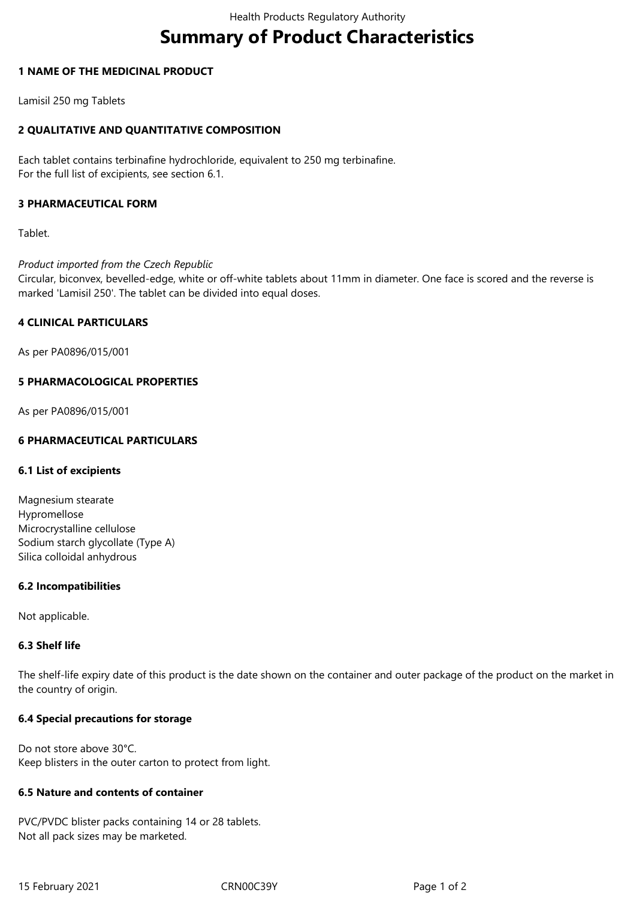# **Summary of Product Characteristics**

# **1 NAME OF THE MEDICINAL PRODUCT**

Lamisil 250 mg Tablets

# **2 QUALITATIVE AND QUANTITATIVE COMPOSITION**

Each tablet contains terbinafine hydrochloride, equivalent to 250 mg terbinafine. For the full list of excipients, see section 6.1.

# **3 PHARMACEUTICAL FORM**

Tablet.

# *Product imported from the Czech Republic*

Circular, biconvex, bevelled-edge, white or off-white tablets about 11mm in diameter. One face is scored and the reverse is marked 'Lamisil 250'. The tablet can be divided into equal doses.

# **4 CLINICAL PARTICULARS**

As per PA0896/015/001

# **5 PHARMACOLOGICAL PROPERTIES**

As per PA0896/015/001

# **6 PHARMACEUTICAL PARTICULARS**

#### **6.1 List of excipients**

Magnesium stearate Hypromellose Microcrystalline cellulose Sodium starch glycollate (Type A) Silica colloidal anhydrous

#### **6.2 Incompatibilities**

Not applicable.

#### **6.3 Shelf life**

The shelf-life expiry date of this product is the date shown on the container and outer package of the product on the market in the country of origin.

# **6.4 Special precautions for storage**

Do not store above 30°C. Keep blisters in the outer carton to protect from light.

# **6.5 Nature and contents of container**

PVC/PVDC blister packs containing 14 or 28 tablets. Not all pack sizes may be marketed.